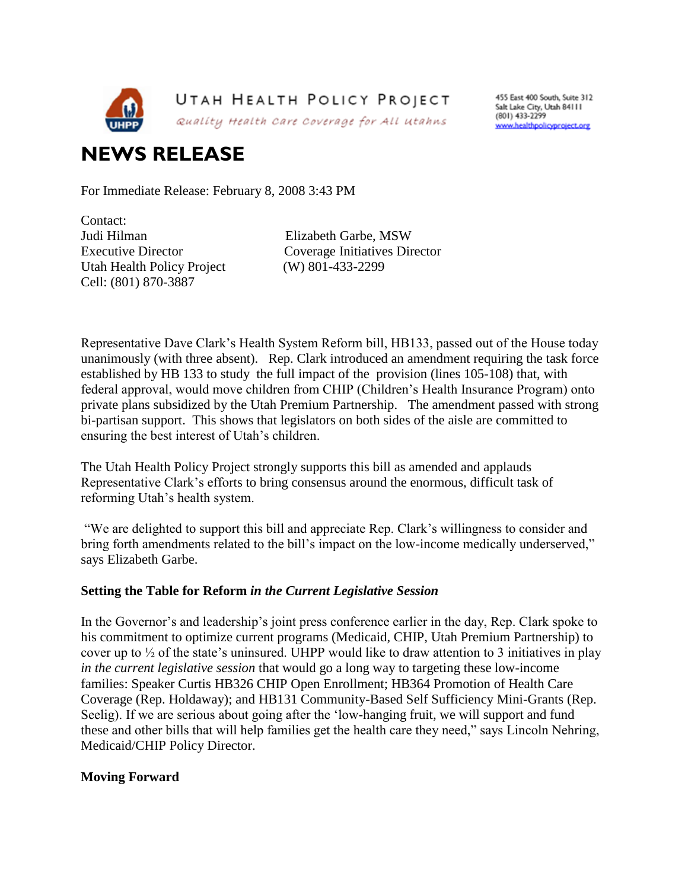

455 East 400 South, Suite 312 Salt Lake City, Utah 84111 (801) 433-2299 www.healthpolicyproject.org

## **NEWS RELEASE**

For Immediate Release: February 8, 2008 3:43 PM

Contact: Judi Hilman Elizabeth Garbe, MSW Utah Health Policy Project (W) 801-433-2299 Cell: (801) 870-3887

Executive Director Coverage Initiatives Director

Representative Dave Clark"s Health System Reform bill, HB133, passed out of the House today unanimously (with three absent). Rep. Clark introduced an amendment requiring the task force established by HB 133 to study the full impact of the provision (lines 105-108) that, with federal approval, would move children from CHIP (Children"s Health Insurance Program) onto private plans subsidized by the Utah Premium Partnership. The amendment passed with strong bi-partisan support. This shows that legislators on both sides of the aisle are committed to ensuring the best interest of Utah"s children.

The Utah Health Policy Project strongly supports this bill as amended and applauds Representative Clark"s efforts to bring consensus around the enormous, difficult task of reforming Utah"s health system.

"We are delighted to support this bill and appreciate Rep. Clark"s willingness to consider and bring forth amendments related to the bill's impact on the low-income medically underserved," says Elizabeth Garbe.

## **Setting the Table for Reform** *in the Current Legislative Session*

In the Governor's and leadership's joint press conference earlier in the day, Rep. Clark spoke to his commitment to optimize current programs (Medicaid, CHIP, Utah Premium Partnership) to cover up to  $\frac{1}{2}$  of the state's uninsured. UHPP would like to draw attention to 3 initiatives in play *in the current legislative session* that would go a long way to targeting these low-income families: Speaker Curtis HB326 CHIP Open Enrollment; HB364 Promotion of Health Care Coverage (Rep. Holdaway); and HB131 Community-Based Self Sufficiency Mini-Grants (Rep. Seelig). If we are serious about going after the "low-hanging fruit, we will support and fund these and other bills that will help families get the health care they need," says Lincoln Nehring, Medicaid/CHIP Policy Director.

## **Moving Forward**